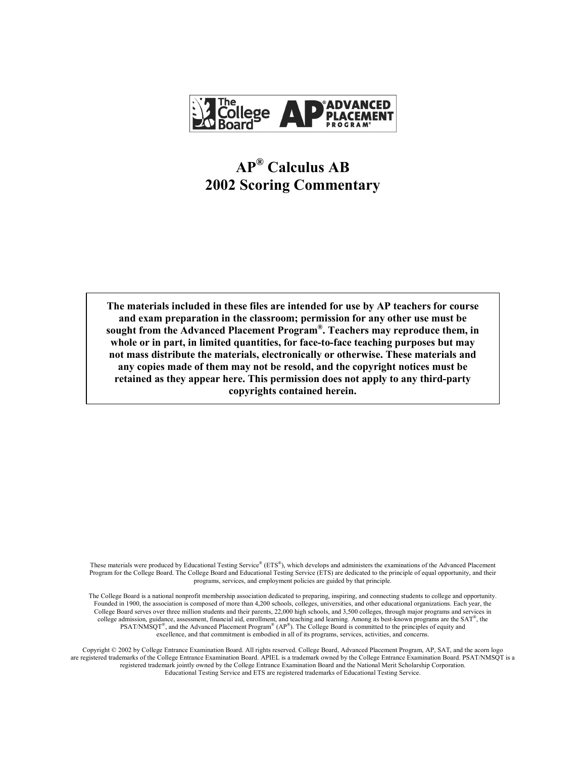

# **AP® Calculus AB 2002 Scoring Commentary**

**The materials included in these files are intended for use by AP teachers for course and exam preparation in the classroom; permission for any other use must be sought from the Advanced Placement Program®. Teachers may reproduce them, in whole or in part, in limited quantities, for face-to-face teaching purposes but may not mass distribute the materials, electronically or otherwise. These materials and any copies made of them may not be resold, and the copyright notices must be retained as they appear here. This permission does not apply to any third-party copyrights contained herein.** 

These materials were produced by Educational Testing Service® (ETS®), which develops and administers the examinations of the Advanced Placement Program for the College Board. The College Board and Educational Testing Service (ETS) are dedicated to the principle of equal opportunity, and their programs, services, and employment policies are guided by that principle.

The College Board is a national nonprofit membership association dedicated to preparing, inspiring, and connecting students to college and opportunity. Founded in 1900, the association is composed of more than 4,200 schools, colleges, universities, and other educational organizations. Each year, the College Board serves over three million students and their parents, 22,000 high schools, and 3,500 colleges, through major programs and services in college admission, guidance, assessment, financial aid, enrollment, and teaching and learning. Among its best-known programs are the SAT®, the  $PSAT/NM\text{SQT}^{\textcircled{\tiny{\text{R}}}}$ , and the Advanced Placement Program® (AP®). The College Board is committed to the principles of equity and excellence, and that commitment is embodied in all of its programs, services, activities, and concerns.

Copyright © 2002 by College Entrance Examination Board. All rights reserved. College Board, Advanced Placement Program, AP, SAT, and the acorn logo are registered trademarks of the College Entrance Examination Board. APIEL is a trademark owned by the College Entrance Examination Board. PSAT/NMSQT is a registered trademark jointly owned by the College Entrance Examination Board and the National Merit Scholarship Corporation. Educational Testing Service and ETS are registered trademarks of Educational Testing Service.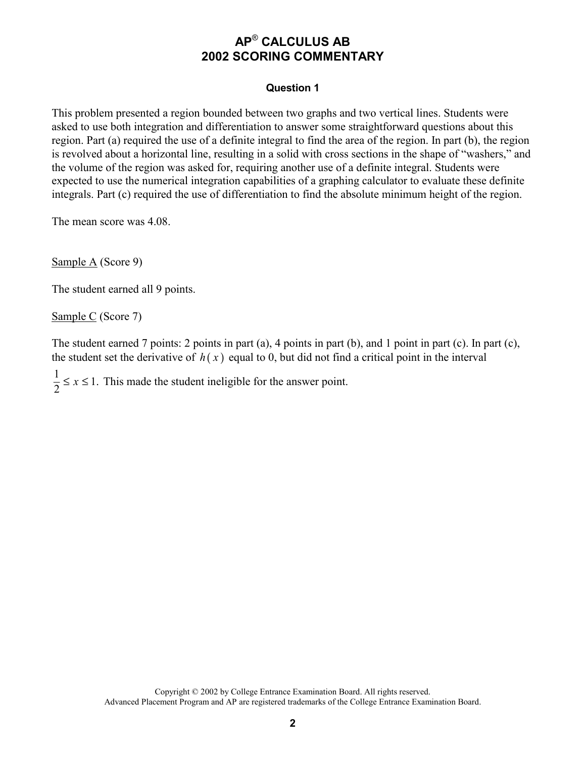#### **Question 1**

This problem presented a region bounded between two graphs and two vertical lines. Students were asked to use both integration and differentiation to answer some straightforward questions about this region. Part (a) required the use of a definite integral to find the area of the region. In part (b), the region is revolved about a horizontal line, resulting in a solid with cross sections in the shape of "washers," and the volume of the region was asked for, requiring another use of a definite integral. Students were expected to use the numerical integration capabilities of a graphing calculator to evaluate these definite integrals. Part (c) required the use of differentiation to find the absolute minimum height of the region.

The mean score was 4.08.

Sample A (Score 9)

The student earned all 9 points.

Sample C (Score 7)

The student earned 7 points: 2 points in part (a), 4 points in part (b), and 1 point in part (c). In part (c), the student set the derivative of  $h(x)$  equal to 0, but did not find a critical point in the interval

 $\frac{1}{2} \le x \le 1$ . This made the student ineligible for the answer point.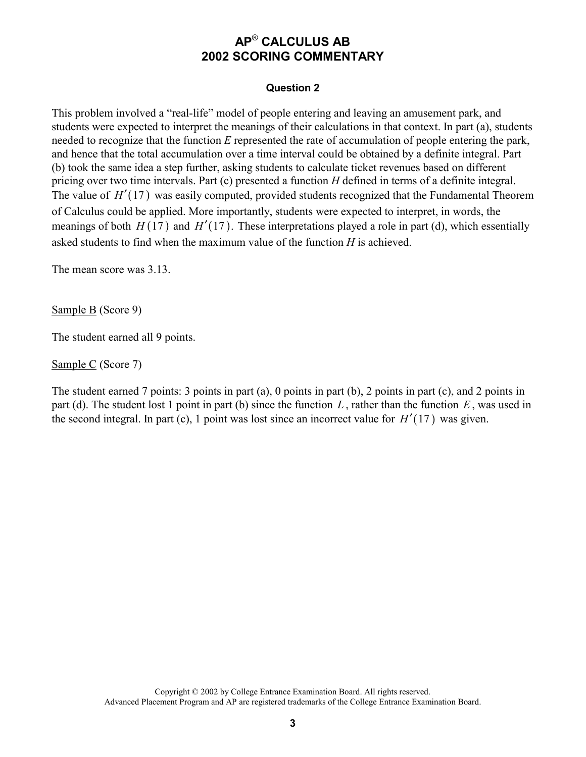#### **Question 2**

This problem involved a "real-life" model of people entering and leaving an amusement park, and students were expected to interpret the meanings of their calculations in that context. In part (a), students needed to recognize that the function *E* represented the rate of accumulation of people entering the park, and hence that the total accumulation over a time interval could be obtained by a definite integral. Part (b) took the same idea a step further, asking students to calculate ticket revenues based on different pricing over two time intervals. Part (c) presented a function *H* defined in terms of a definite integral. The value of  $H'(17)$  was easily computed, provided students recognized that the Fundamental Theorem of Calculus could be applied. More importantly, students were expected to interpret, in words, the meanings of both  $H(17)$  and  $H'(17)$ . These interpretations played a role in part (d), which essentially asked students to find when the maximum value of the function *H* is achieved.

The mean score was 3.13.

Sample B (Score 9)

The student earned all 9 points.

Sample C (Score 7)

The student earned 7 points: 3 points in part (a), 0 points in part (b), 2 points in part (c), and 2 points in part (d). The student lost 1 point in part (b) since the function *L* , rather than the function *E*, was used in the second integral. In part (c), 1 point was lost since an incorrect value for  $H'(17)$  was given.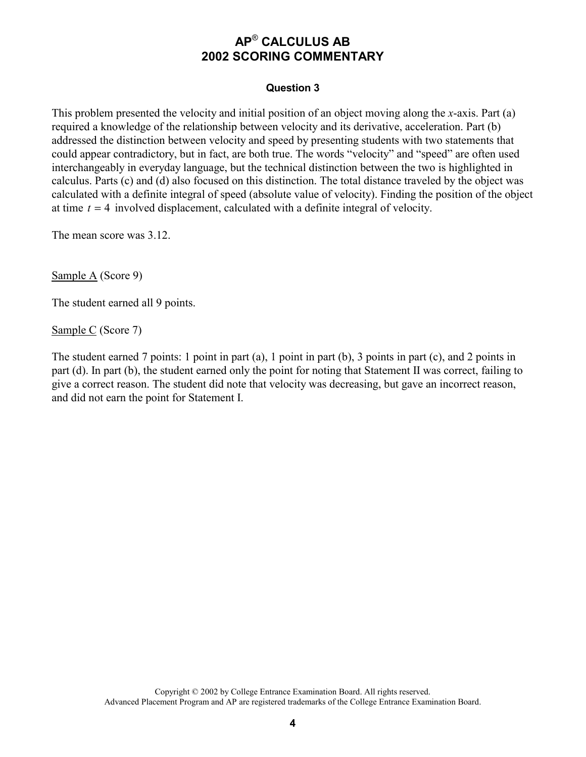#### **Question 3**

This problem presented the velocity and initial position of an object moving along the *x*-axis. Part (a) required a knowledge of the relationship between velocity and its derivative, acceleration. Part (b) addressed the distinction between velocity and speed by presenting students with two statements that could appear contradictory, but in fact, are both true. The words "velocity" and "speed" are often used interchangeably in everyday language, but the technical distinction between the two is highlighted in calculus. Parts (c) and (d) also focused on this distinction. The total distance traveled by the object was calculated with a definite integral of speed (absolute value of velocity). Finding the position of the object at time *t* = 4 involved displacement, calculated with a definite integral of velocity.

The mean score was 3.12.

Sample A (Score 9)

The student earned all 9 points.

Sample C (Score 7)

The student earned 7 points: 1 point in part (a), 1 point in part (b), 3 points in part (c), and 2 points in part (d). In part (b), the student earned only the point for noting that Statement II was correct, failing to give a correct reason. The student did note that velocity was decreasing, but gave an incorrect reason, and did not earn the point for Statement I.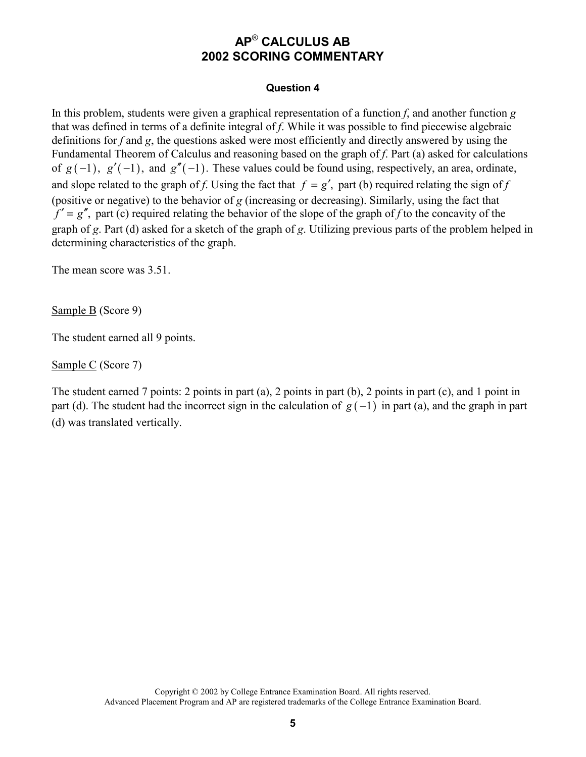#### **Question 4**

In this problem, students were given a graphical representation of a function *f*, and another function *g* that was defined in terms of a definite integral of *f*. While it was possible to find piecewise algebraic definitions for *f* and *g*, the questions asked were most efficiently and directly answered by using the Fundamental Theorem of Calculus and reasoning based on the graph of *f*. Part (a) asked for calculations of  $g(-1)$ ,  $g'(-1)$ , and  $g''(-1)$ . These values could be found using, respectively, an area, ordinate, and slope related to the graph of *f*. Using the fact that  $f = g'$ , part (b) required relating the sign of *f* (positive or negative) to the behavior of *g* (increasing or decreasing). Similarly, using the fact that  $f' = g''$ , part (c) required relating the behavior of the slope of the graph of *f* to the concavity of the graph of *g*. Part (d) asked for a sketch of the graph of *g*. Utilizing previous parts of the problem helped in determining characteristics of the graph.

The mean score was 3.51.

Sample B (Score 9)

The student earned all 9 points.

Sample C (Score 7)

The student earned 7 points: 2 points in part (a), 2 points in part (b), 2 points in part (c), and 1 point in part (d). The student had the incorrect sign in the calculation of  $g(-1)$  in part (a), and the graph in part (d) was translated vertically.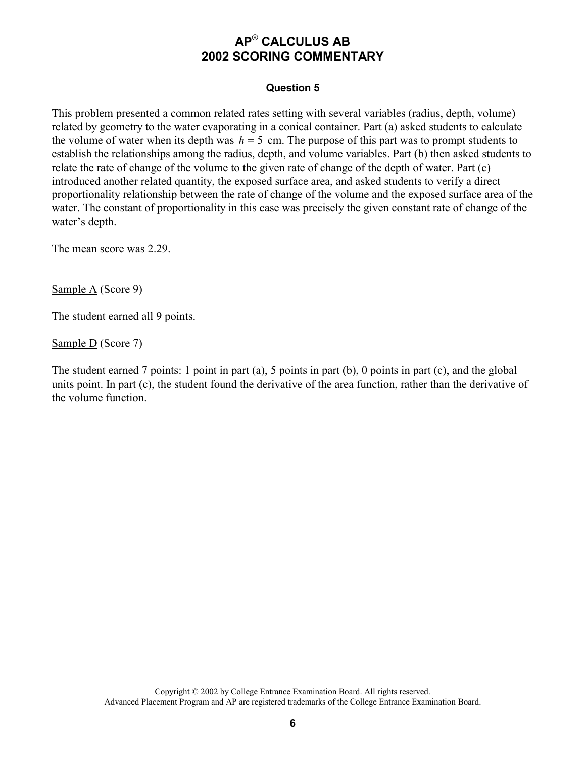#### **Question 5**

This problem presented a common related rates setting with several variables (radius, depth, volume) related by geometry to the water evaporating in a conical container. Part (a) asked students to calculate the volume of water when its depth was  $h = 5$  cm. The purpose of this part was to prompt students to establish the relationships among the radius, depth, and volume variables. Part (b) then asked students to relate the rate of change of the volume to the given rate of change of the depth of water. Part (c) introduced another related quantity, the exposed surface area, and asked students to verify a direct proportionality relationship between the rate of change of the volume and the exposed surface area of the water. The constant of proportionality in this case was precisely the given constant rate of change of the water's depth.

The mean score was 2.29.

Sample A (Score 9)

The student earned all 9 points.

Sample D (Score 7)

The student earned 7 points: 1 point in part (a), 5 points in part (b), 0 points in part (c), and the global units point. In part (c), the student found the derivative of the area function, rather than the derivative of the volume function.